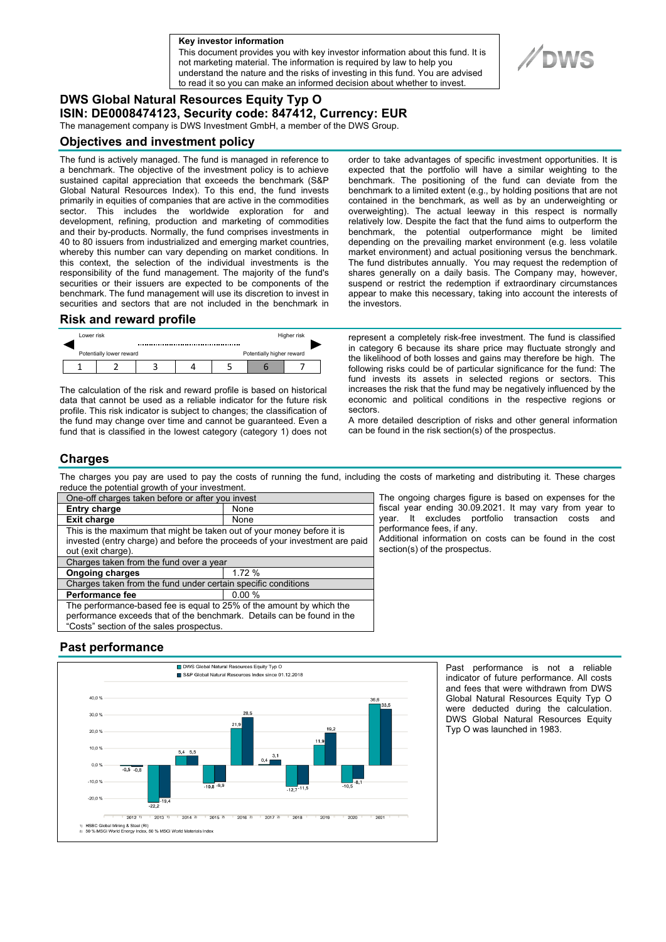**a Key investor information**

This document provides you with key investor information about this fund. It is not marketing material. The information is required by law to help you understand the nature and the risks of investing in this fund. You are advised to read it so you can make an informed decision about whether to invest.

# **DWS Global Natural Resources Equity Typ O ISIN: DE0008474123, Security code: 847412, Currency: EUR**

The management company is DWS Investment GmbH, a member of the DWS Group.

## **Objectives and investment policy**

The fund is actively managed. The fund is managed in reference to a benchmark. The objective of the investment policy is to achieve sustained capital appreciation that exceeds the benchmark (S&P Global Natural Resources Index). To this end, the fund invests primarily in equities of companies that are active in the commodities sector. This includes the worldwide exploration for and development, refining, production and marketing of commodities and their by-products. Normally, the fund comprises investments in 40 to 80 issuers from industrialized and emerging market countries, whereby this number can vary depending on market conditions. In this context, the selection of the individual investments is the responsibility of the fund management. The majority of the fund's securities or their issuers are expected to be components of the benchmark. The fund management will use its discretion to invest in securities and sectors that are not included in the benchmark in

#### **Risk and reward profile**

|                                                       | Lower risk |  |  | Higher risk |  |  |  |  |
|-------------------------------------------------------|------------|--|--|-------------|--|--|--|--|
| Potentially higher reward<br>Potentially lower reward |            |  |  |             |  |  |  |  |
|                                                       |            |  |  |             |  |  |  |  |

The calculation of the risk and reward profile is based on historical data that cannot be used as a reliable indicator for the future risk profile. This risk indicator is subject to changes; the classification of the fund may change over time and cannot be guaranteed. Even a fund that is classified in the lowest category (category 1) does not order to take advantages of specific investment opportunities. It is expected that the portfolio will have a similar weighting to the benchmark. The positioning of the fund can deviate from the benchmark to a limited extent (e.g., by holding positions that are not contained in the benchmark, as well as by an underweighting or overweighting). The actual leeway in this respect is normally relatively low. Despite the fact that the fund aims to outperform the benchmark, the potential outperformance might be limited depending on the prevailing market environment (e.g. less volatile market environment) and actual positioning versus the benchmark. The fund distributes annually. You may request the redemption of shares generally on a daily basis. The Company may, however, suspend or restrict the redemption if extraordinary circumstances appear to make this necessary, taking into account the interests of the investors.

represent a completely risk-free investment. The fund is classified in category 6 because its share price may fluctuate strongly and the likelihood of both losses and gains may therefore be high. The following risks could be of particular significance for the fund: The fund invests its assets in selected regions or sectors. This increases the risk that the fund may be negatively influenced by the economic and political conditions in the respective regions or sectors.

A more detailed description of risks and other general information can be found in the risk section(s) of the prospectus.

## **Charges**

The charges you pay are used to pay the costs of running the fund, including the costs of marketing and distributing it. These charges reduce the potential growth of your investment.

| One-off charges taken before or after you invest                                                  |       |  |  |  |  |
|---------------------------------------------------------------------------------------------------|-------|--|--|--|--|
| <b>Entry charge</b>                                                                               | None  |  |  |  |  |
| <b>Exit charge</b>                                                                                | None  |  |  |  |  |
| This is the maximum that might be taken out of your money before it is                            |       |  |  |  |  |
| invested (entry charge) and before the proceeds of your investment are paid<br>out (exit charge). |       |  |  |  |  |
| Charges taken from the fund over a year                                                           |       |  |  |  |  |
| <b>Ongoing charges</b>                                                                            | 1.72% |  |  |  |  |
| Charges taken from the fund under certain specific conditions                                     |       |  |  |  |  |
| <b>Performance fee</b>                                                                            | 0.00% |  |  |  |  |
| The performance-based fee is equal to 25% of the amount by which the                              |       |  |  |  |  |
| performance exceeds that of the benchmark. Details can be found in the                            |       |  |  |  |  |
| "Costs" section of the sales prospectus.                                                          |       |  |  |  |  |

The ongoing charges figure is based on expenses for the fiscal year ending 30.09.2021. It may vary from year to year. It excludes portfolio transaction costs and performance fees, if any.

Additional information on costs can be found in the cost section(s) of the prospectus.

## **Past performance**



Past performance is not a reliable indicator of future performance. All costs and fees that were withdrawn from DWS Global Natural Resources Equity Typ O were deducted during the calculation. DWS Global Natural Resources Equity Typ O was launched in 1983.